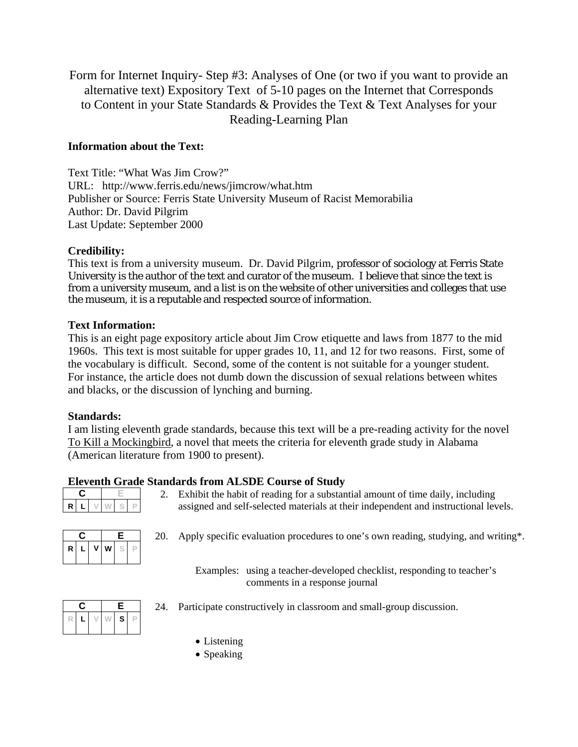Form for Internet Inquiry- Step #3: Analyses of One (or two if you want to provide an alternative text) Expository Text of 5-10 pages on the Internet that Corresponds to Content in your State Standards & Provides the Text & Text Analyses for your Reading-Learning Plan

## **Information about the Text:**

Text Title: "What Was Jim Crow?" URL: http://www.ferris.edu/news/jimcrow/what.htm Publisher or Source: Ferris State University Museum of Racist Memorabilia Author: Dr. David Pilgrim Last Update: September 2000

### **Credibility:**

This text is from a university museum. Dr. David Pilgrim, professor of sociology at Ferris State University is the author of the text and curator of the museum. I believe that since the text is from a university museum, and a list is on the website of other universities and colleges that use the museum, it is a reputable and respected source of information.

#### **Text Information:**

This is an eight page expository article about Jim Crow etiquette and laws from 1877 to the mid 1960s. This text is most suitable for upper grades 10, 11, and 12 for two reasons. First, some of the vocabulary is difficult. Second, some of the content is not suitable for a younger student. For instance, the article does not dumb down the discussion of sexual relations between whites and blacks, or the discussion of lynching and burning.

#### **Standards:**

I am listing eleventh grade standards, because this text will be a pre-reading activity for the novel To Kill a Mockingbird, a novel that meets the criteria for eleventh grade study in Alabama (American literature from 1900 to present).

# **Eleventh Grade Standards from ALSDE Course of Study**

| г |  |  |  |  |  |
|---|--|--|--|--|--|

2. Exhibit the habit of reading for a substantial amount of time daily, including assigned and self-selected materials at their independent and instructional levels.

| Ü. |    |   | Е |  |  |
|----|----|---|---|--|--|
| R  | L. | ۷ | w |  |  |

**C E** 20. Apply specific evaluation procedures to one's own reading, studying, and writing\*.

Examples: using a teacher-developed checklist, responding to teacher's comments in a response journal



- **C E** 24. Participate constructively in classroom and small-group discussion.
	- Listening
	- Speaking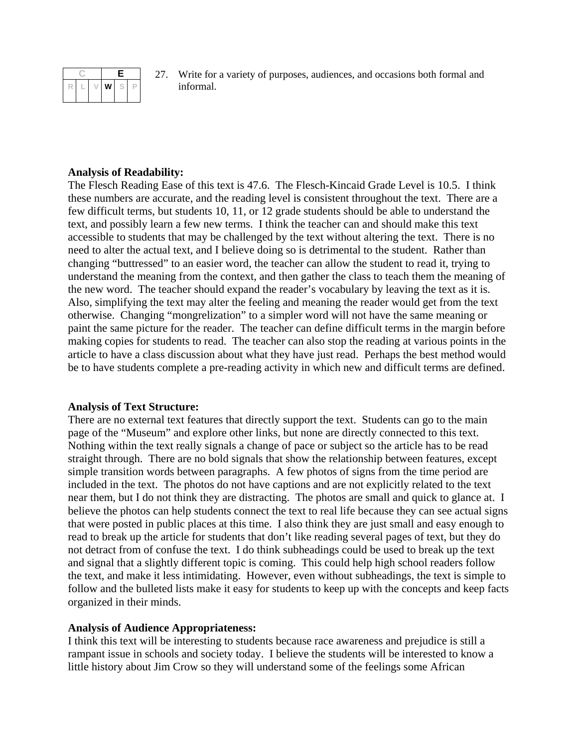

**C E** 27. Write for a variety of purposes, audiences, and occasions both formal and

### **Analysis of Readability:**

The Flesch Reading Ease of this text is 47.6. The Flesch-Kincaid Grade Level is 10.5. I think these numbers are accurate, and the reading level is consistent throughout the text. There are a few difficult terms, but students 10, 11, or 12 grade students should be able to understand the text, and possibly learn a few new terms. I think the teacher can and should make this text accessible to students that may be challenged by the text without altering the text. There is no need to alter the actual text, and I believe doing so is detrimental to the student. Rather than changing "buttressed" to an easier word, the teacher can allow the student to read it, trying to understand the meaning from the context, and then gather the class to teach them the meaning of the new word. The teacher should expand the reader's vocabulary by leaving the text as it is. Also, simplifying the text may alter the feeling and meaning the reader would get from the text otherwise. Changing "mongrelization" to a simpler word will not have the same meaning or paint the same picture for the reader. The teacher can define difficult terms in the margin before making copies for students to read. The teacher can also stop the reading at various points in the article to have a class discussion about what they have just read. Perhaps the best method would be to have students complete a pre-reading activity in which new and difficult terms are defined.

#### **Analysis of Text Structure:**

There are no external text features that directly support the text. Students can go to the main page of the "Museum" and explore other links, but none are directly connected to this text. Nothing within the text really signals a change of pace or subject so the article has to be read straight through. There are no bold signals that show the relationship between features, except simple transition words between paragraphs. A few photos of signs from the time period are included in the text. The photos do not have captions and are not explicitly related to the text near them, but I do not think they are distracting. The photos are small and quick to glance at. I believe the photos can help students connect the text to real life because they can see actual signs that were posted in public places at this time. I also think they are just small and easy enough to read to break up the article for students that don't like reading several pages of text, but they do not detract from of confuse the text. I do think subheadings could be used to break up the text and signal that a slightly different topic is coming. This could help high school readers follow the text, and make it less intimidating. However, even without subheadings, the text is simple to follow and the bulleted lists make it easy for students to keep up with the concepts and keep facts organized in their minds.

#### **Analysis of Audience Appropriateness:**

I think this text will be interesting to students because race awareness and prejudice is still a rampant issue in schools and society today. I believe the students will be interested to know a little history about Jim Crow so they will understand some of the feelings some African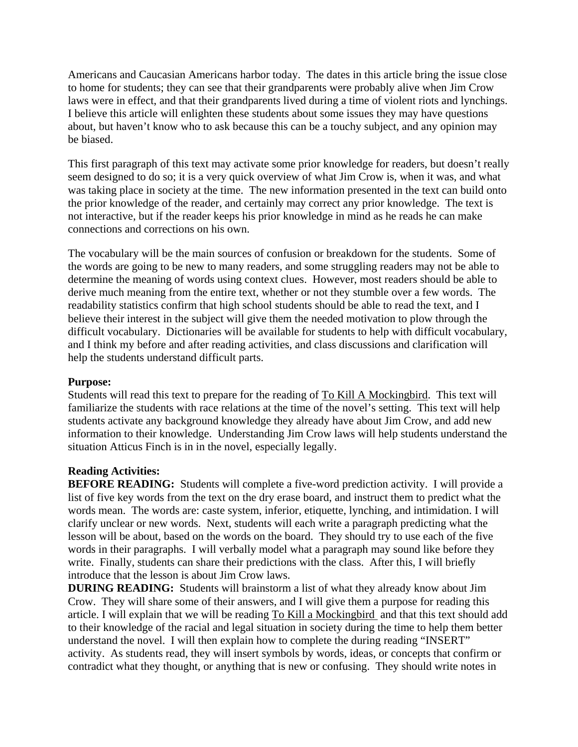Americans and Caucasian Americans harbor today. The dates in this article bring the issue close to home for students; they can see that their grandparents were probably alive when Jim Crow laws were in effect, and that their grandparents lived during a time of violent riots and lynchings. I believe this article will enlighten these students about some issues they may have questions about, but haven't know who to ask because this can be a touchy subject, and any opinion may be biased.

This first paragraph of this text may activate some prior knowledge for readers, but doesn't really seem designed to do so; it is a very quick overview of what Jim Crow is, when it was, and what was taking place in society at the time. The new information presented in the text can build onto the prior knowledge of the reader, and certainly may correct any prior knowledge. The text is not interactive, but if the reader keeps his prior knowledge in mind as he reads he can make connections and corrections on his own.

The vocabulary will be the main sources of confusion or breakdown for the students. Some of the words are going to be new to many readers, and some struggling readers may not be able to determine the meaning of words using context clues. However, most readers should be able to derive much meaning from the entire text, whether or not they stumble over a few words. The readability statistics confirm that high school students should be able to read the text, and I believe their interest in the subject will give them the needed motivation to plow through the difficult vocabulary. Dictionaries will be available for students to help with difficult vocabulary, and I think my before and after reading activities, and class discussions and clarification will help the students understand difficult parts.

#### **Purpose:**

Students will read this text to prepare for the reading of To Kill A Mockingbird. This text will familiarize the students with race relations at the time of the novel's setting. This text will help students activate any background knowledge they already have about Jim Crow, and add new information to their knowledge. Understanding Jim Crow laws will help students understand the situation Atticus Finch is in in the novel, especially legally.

#### **Reading Activities:**

**BEFORE READING:** Students will complete a five-word prediction activity. I will provide a list of five key words from the text on the dry erase board, and instruct them to predict what the words mean. The words are: caste system, inferior, etiquette, lynching, and intimidation. I will clarify unclear or new words. Next, students will each write a paragraph predicting what the lesson will be about, based on the words on the board. They should try to use each of the five words in their paragraphs. I will verbally model what a paragraph may sound like before they write. Finally, students can share their predictions with the class. After this, I will briefly introduce that the lesson is about Jim Crow laws.

**DURING READING:** Students will brainstorm a list of what they already know about Jim Crow. They will share some of their answers, and I will give them a purpose for reading this article. I will explain that we will be reading To Kill a Mockingbird and that this text should add to their knowledge of the racial and legal situation in society during the time to help them better understand the novel. I will then explain how to complete the during reading "INSERT" activity. As students read, they will insert symbols by words, ideas, or concepts that confirm or contradict what they thought, or anything that is new or confusing. They should write notes in